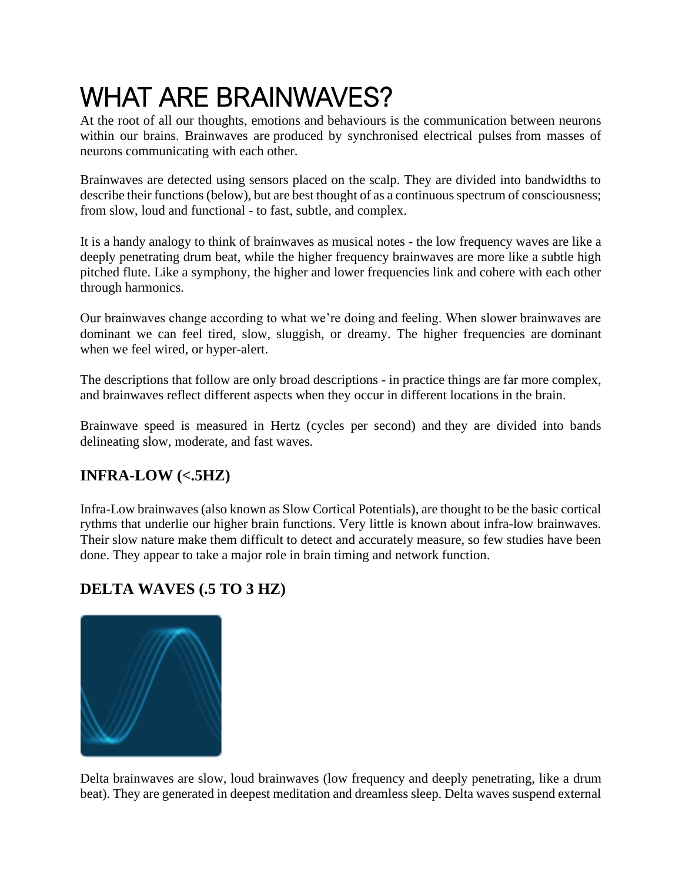# WHAT ARE BRAINWAVES?

At the root of all our thoughts, emotions and behaviours is the communication between neurons within our brains. Brainwaves are produced by synchronised electrical pulses from masses of neurons communicating with each other.

Brainwaves are detected using sensors placed on the scalp. They are divided into bandwidths to describe their functions (below), but are best thought of as a continuous spectrum of consciousness; from slow, loud and functional - to fast, subtle, and complex.

It is a handy analogy to think of brainwaves as musical notes - the low frequency waves are like a deeply penetrating drum beat, while the higher frequency brainwaves are more like a subtle high pitched flute. Like a symphony, the higher and lower frequencies link and cohere with each other through harmonics.

Our brainwaves change according to what we're doing and feeling. When slower brainwaves are dominant we can feel tired, slow, sluggish, or dreamy. The higher frequencies are dominant when we feel wired, or hyper-alert.

The descriptions that follow are only broad descriptions - in practice things are far more complex, and brainwaves reflect different aspects when they occur in different locations in the brain.

Brainwave speed is measured in Hertz (cycles per second) and they are divided into bands delineating slow, moderate, and fast waves.

## **INFRA-LOW (<.5HZ)**

Infra-Low brainwaves (also known as Slow Cortical Potentials), are thought to be the basic cortical rythms that underlie our higher brain functions. Very little is known about infra-low brainwaves. Their slow nature make them difficult to detect and accurately measure, so few studies have been done. They appear to take a major role in brain timing and network function.

## **DELTA WAVES (.5 TO 3 HZ)**



Delta brainwaves are slow, loud brainwaves (low frequency and deeply penetrating, like a drum beat). They are generated in deepest meditation and dreamless sleep. Delta waves suspend external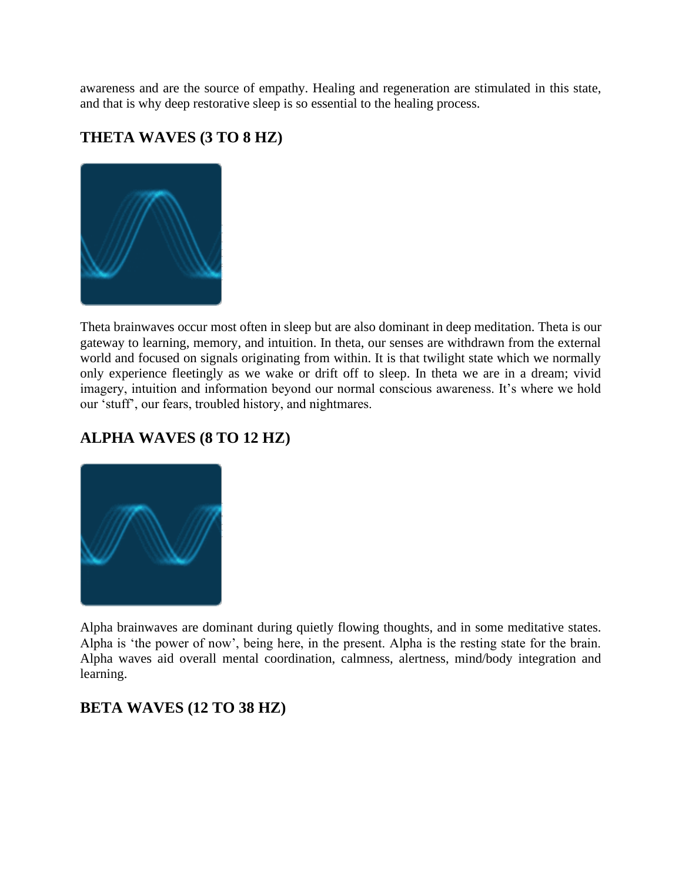awareness and are the source of empathy. Healing and regeneration are stimulated in this state, and that is why deep restorative sleep is so essential to the healing process.

#### **THETA WAVES (3 TO 8 HZ)**



Theta brainwaves occur most often in sleep but are also dominant in deep meditation. Theta is our gateway to learning, memory, and intuition. In theta, our senses are withdrawn from the external world and focused on signals originating from within. It is that twilight state which we normally only experience fleetingly as we wake or drift off to sleep. In theta we are in a dream; vivid imagery, intuition and information beyond our normal conscious awareness. It's where we hold our 'stuff', our fears, troubled history, and nightmares.

#### **ALPHA WAVES (8 TO 12 HZ)**



Alpha brainwaves are dominant during quietly flowing thoughts, and in some meditative states. Alpha is 'the power of now', being here, in the present. Alpha is the resting state for the brain. Alpha waves aid overall mental coordination, calmness, alertness, mind/body integration and learning.

#### **BETA WAVES (12 TO 38 HZ)**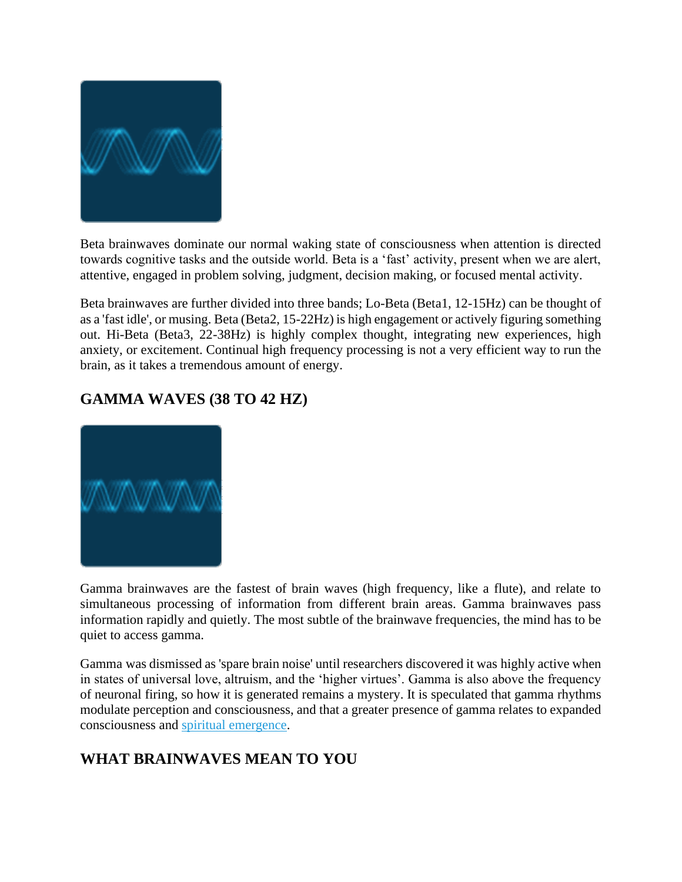

Beta brainwaves dominate our normal waking state of consciousness when attention is directed towards cognitive tasks and the outside world. Beta is a 'fast' activity, present when we are alert, attentive, engaged in problem solving, judgment, decision making, or focused mental activity.

Beta brainwaves are further divided into three bands; Lo-Beta (Beta1, 12-15Hz) can be thought of as a 'fast idle', or musing. Beta (Beta2, 15-22Hz) is high engagement or actively figuring something out. Hi-Beta (Beta3, 22-38Hz) is highly complex thought, integrating new experiences, high anxiety, or excitement. Continual high frequency processing is not a very efficient way to run the brain, as it takes a tremendous amount of energy.

## **GAMMA WAVES (38 TO 42 HZ)**



Gamma brainwaves are the fastest of brain waves (high frequency, like a flute), and relate to simultaneous processing of information from different brain areas. Gamma brainwaves pass information rapidly and quietly. The most subtle of the brainwave frequencies, the mind has to be quiet to access gamma.

Gamma was dismissed as 'spare brain noise' until researchers discovered it was highly active when in states of universal love, altruism, and the 'higher virtues'. Gamma is also above the frequency of neuronal firing, so how it is generated remains a mystery. It is speculated that gamma rhythms modulate perception and consciousness, and that a greater presence of gamma relates to expanded consciousness and [spiritual emergence.](https://brainworksneurotherapy.com/neurofeedback-spiritual-development)

# **WHAT BRAINWAVES MEAN TO YOU**